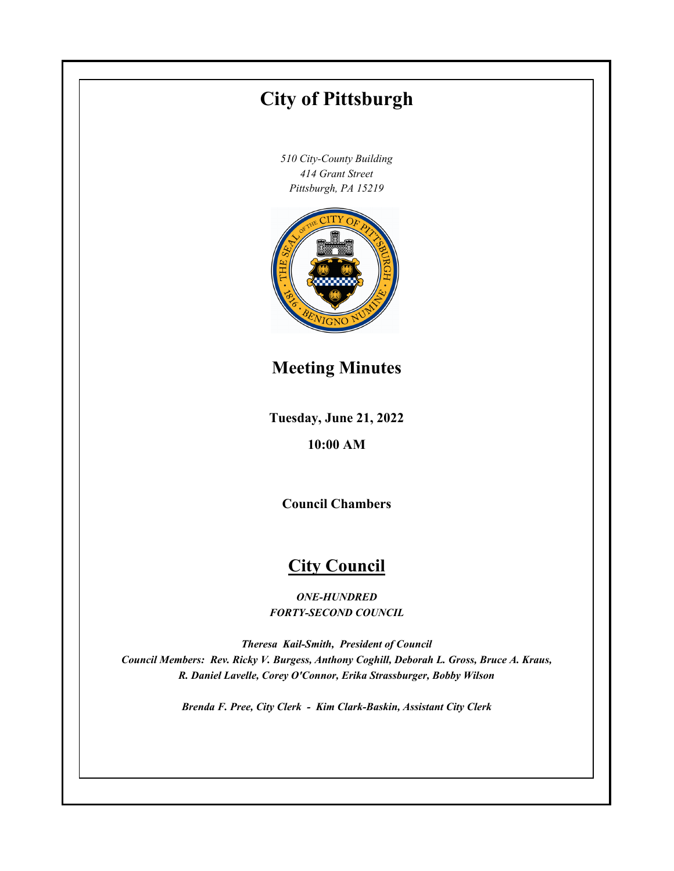# **Tuesday, June 21, 2022 10:00 AM City of Pittsburgh** *510 City-County Building 414 Grant Street Pittsburgh, PA 15219* **Council Chambers City Council** *ONE-HUNDRED FORTY-SECOND COUNCIL Theresa Kail-Smith, President of Council Council Members: Rev. Ricky V. Burgess, Anthony Coghill, Deborah L. Gross, Bruce A. Kraus, R. Daniel Lavelle, Corey O'Connor, Erika Strassburger, Bobby Wilson Brenda F. Pree, City Clerk - Kim Clark-Baskin, Assistant City Clerk* **Meeting Minutes**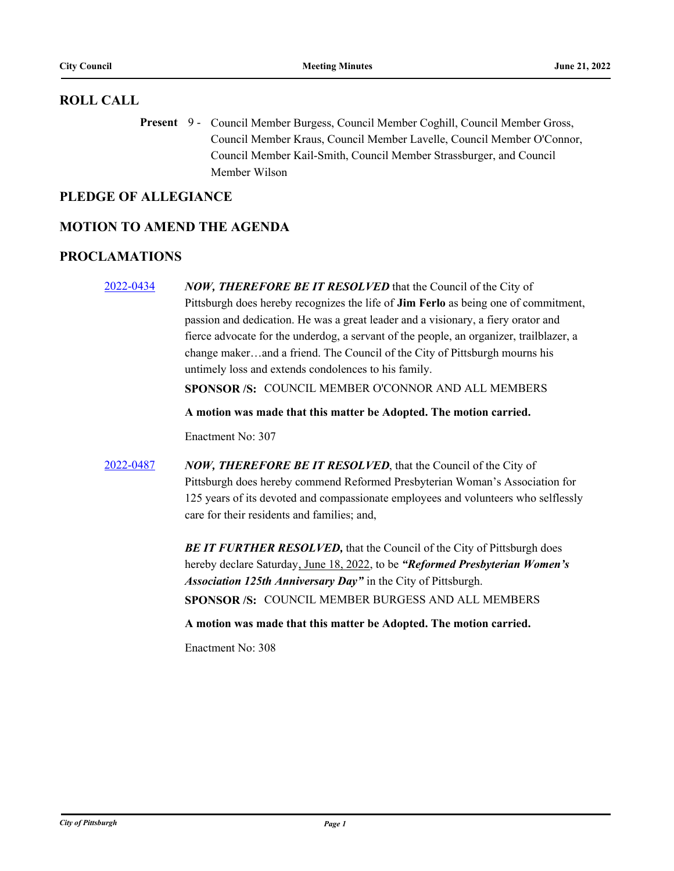## **ROLL CALL**

Present 9 - Council Member Burgess, Council Member Coghill, Council Member Gross, Council Member Kraus, Council Member Lavelle, Council Member O'Connor, Council Member Kail-Smith, Council Member Strassburger, and Council Member Wilson

## **PLEDGE OF ALLEGIANCE**

## **MOTION TO AMEND THE AGENDA**

## **PROCLAMATIONS**

[2022-0434](http://pittsburgh.legistar.com/gateway.aspx?m=l&id=/matter.aspx?key=27817) *NOW, THEREFORE BE IT RESOLVED* that the Council of the City of Pittsburgh does hereby recognizes the life of **Jim Ferlo** as being one of commitment, passion and dedication. He was a great leader and a visionary, a fiery orator and fierce advocate for the underdog, a servant of the people, an organizer, trailblazer, a change maker…and a friend. The Council of the City of Pittsburgh mourns his untimely loss and extends condolences to his family. **SPONSOR /S:** COUNCIL MEMBER O'CONNOR AND ALL MEMBERS **A motion was made that this matter be Adopted. The motion carried.** Enactment No: 307 [2022-0487](http://pittsburgh.legistar.com/gateway.aspx?m=l&id=/matter.aspx?key=27884) *NOW, THEREFORE BE IT RESOLVED*, that the Council of the City of Pittsburgh does hereby commend Reformed Presbyterian Woman's Association for 125 years of its devoted and compassionate employees and volunteers who selflessly care for their residents and families; and, **BE IT FURTHER RESOLVED, that the Council of the City of Pittsburgh does** hereby declare Saturday, June 18, 2022, to be *"Reformed Presbyterian Women's Association 125th Anniversary Day"* in the City of Pittsburgh. **SPONSOR /S:** COUNCIL MEMBER BURGESS AND ALL MEMBERS **A motion was made that this matter be Adopted. The motion carried.** Enactment No: 308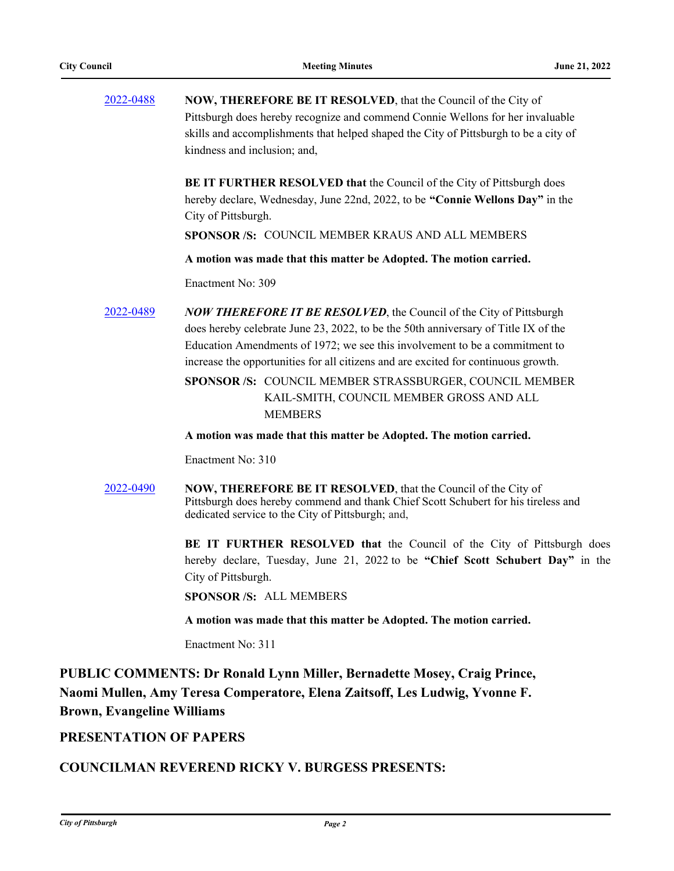| 2022-0488 | <b>NOW, THEREFORE BE IT RESOLVED, that the Council of the City of</b>                |
|-----------|--------------------------------------------------------------------------------------|
|           | Pittsburgh does hereby recognize and commend Connie Wellons for her invaluable       |
|           | skills and accomplishments that helped shaped the City of Pittsburgh to be a city of |
|           | kindness and inclusion: and.                                                         |

**BE IT FURTHER RESOLVED that** the Council of the City of Pittsburgh does hereby declare, Wednesday, June 22nd, 2022, to be **"Connie Wellons Day"** in the City of Pittsburgh.

**SPONSOR /S:** COUNCIL MEMBER KRAUS AND ALL MEMBERS

**A motion was made that this matter be Adopted. The motion carried.**

Enactment No: 309

[2022-0489](http://pittsburgh.legistar.com/gateway.aspx?m=l&id=/matter.aspx?key=27886) *NOW THEREFORE IT BE RESOLVED*, the Council of the City of Pittsburgh does hereby celebrate June 23, 2022, to be the 50th anniversary of Title IX of the Education Amendments of 1972; we see this involvement to be a commitment to increase the opportunities for all citizens and are excited for continuous growth.

> SPONSOR /S: COUNCIL MEMBER STRASSBURGER, COUNCIL MEMBER KAIL-SMITH, COUNCIL MEMBER GROSS AND ALL **MEMBERS**

**A motion was made that this matter be Adopted. The motion carried.**

Enactment No: 310

[2022-0490](http://pittsburgh.legistar.com/gateway.aspx?m=l&id=/matter.aspx?key=27887) **NOW, THEREFORE BE IT RESOLVED**, that the Council of the City of Pittsburgh does hereby commend and thank Chief Scott Schubert for his tireless and dedicated service to the City of Pittsburgh; and,

> **BE IT FURTHER RESOLVED that** the Council of the City of Pittsburgh does hereby declare, Tuesday, June 21, 2022 to be **"Chief Scott Schubert Day"** in the City of Pittsburgh.

**SPONSOR /S:** ALL MEMBERS

**A motion was made that this matter be Adopted. The motion carried.**

Enactment No: 311

**PUBLIC COMMENTS: Dr Ronald Lynn Miller, Bernadette Mosey, Craig Prince, Naomi Mullen, Amy Teresa Comperatore, Elena Zaitsoff, Les Ludwig, Yvonne F. Brown, Evangeline Williams**

#### **PRESENTATION OF PAPERS**

## **COUNCILMAN REVEREND RICKY V. BURGESS PRESENTS:**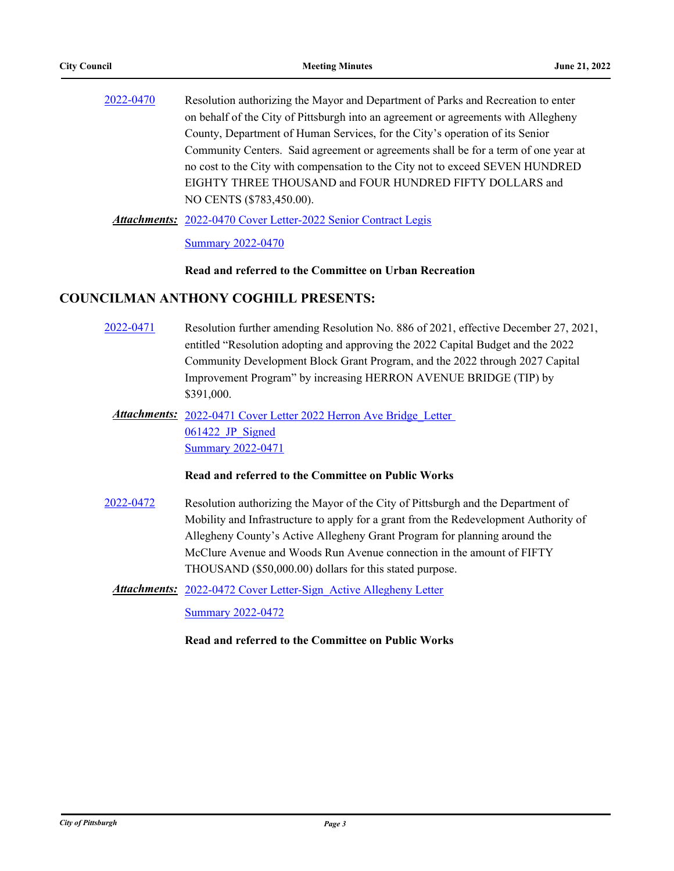| 2022-0470 | Resolution authorizing the Mayor and Department of Parks and Recreation to enter   |
|-----------|------------------------------------------------------------------------------------|
|           | on behalf of the City of Pittsburgh into an agreement or agreements with Allegheny |
|           | County, Department of Human Services, for the City's operation of its Senior       |
|           | Community Centers. Said agreement or agreements shall be for a term of one year at |
|           | no cost to the City with compensation to the City not to exceed SEVEN HUNDRED      |
|           | EIGHTY THREE THOUSAND and FOUR HUNDRED FIFTY DOLLARS and                           |
|           | NO CENTS (\$783,450.00).                                                           |
|           |                                                                                    |

Attachments: [2022-0470 Cover Letter-2022 Senior Contract Legis](http://pittsburgh.legistar.com/gateway.aspx?M=F&ID=6407815f-2321-4833-aa51-7ad249b37abe.docx)

[Summary 2022-0470](http://pittsburgh.legistar.com/gateway.aspx?M=F&ID=7a6f83c5-4068-4c7b-9345-40e61a256c91.docx)

#### **Read and referred to the Committee on Urban Recreation**

## **COUNCILMAN ANTHONY COGHILL PRESENTS:**

- [2022-0471](http://pittsburgh.legistar.com/gateway.aspx?m=l&id=/matter.aspx?key=27868) Resolution further amending Resolution No. 886 of 2021, effective December 27, 2021, entitled "Resolution adopting and approving the 2022 Capital Budget and the 2022 Community Development Block Grant Program, and the 2022 through 2027 Capital Improvement Program" by increasing HERRON AVENUE BRIDGE (TIP) by \$391,000.
	- Attachments: 2022-0471 Cover Letter 2022 Herron Ave Bridge Letter 061422 JP Signed [Summary 2022-0471](http://pittsburgh.legistar.com/gateway.aspx?M=F&ID=b31c25d9-1d2c-491d-b02c-bebf0e32cdad.docx)

#### **Read and referred to the Committee on Public Works**

[2022-0472](http://pittsburgh.legistar.com/gateway.aspx?m=l&id=/matter.aspx?key=27869) Resolution authorizing the Mayor of the City of Pittsburgh and the Department of Mobility and Infrastructure to apply for a grant from the Redevelopment Authority of Allegheny County's Active Allegheny Grant Program for planning around the McClure Avenue and Woods Run Avenue connection in the amount of FIFTY THOUSAND (\$50,000.00) dollars for this stated purpose.

**Attachments:** 2022-0472 Cover Letter-Sign Active Allegheny Letter

[Summary 2022-0472](http://pittsburgh.legistar.com/gateway.aspx?M=F&ID=b8c3fead-a7ca-4ef8-93e3-de49f97a8774.docx)

#### **Read and referred to the Committee on Public Works**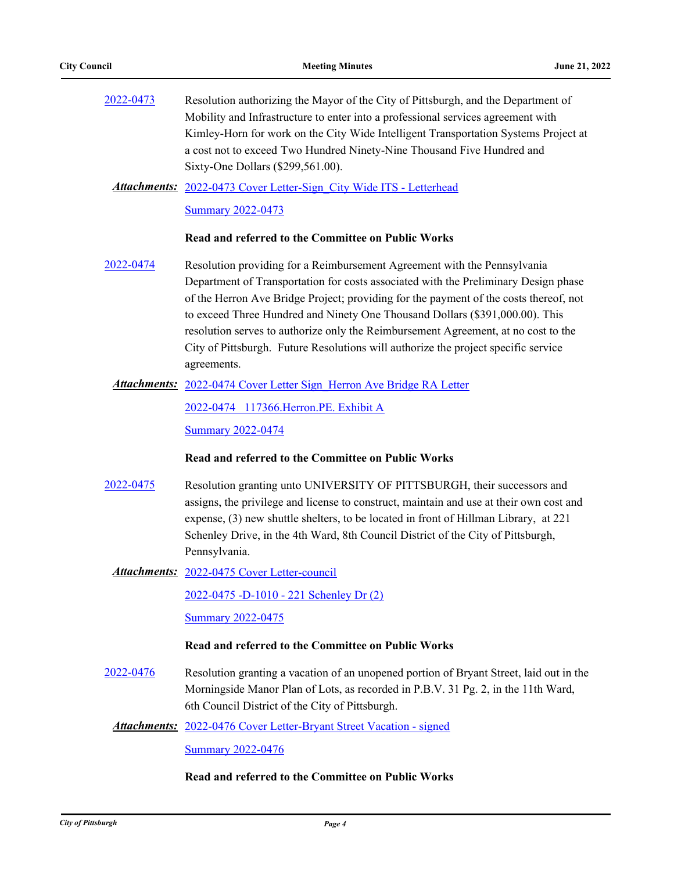| 2022-0473 | Resolution authorizing the Mayor of the City of Pittsburgh, and the Department of     |
|-----------|---------------------------------------------------------------------------------------|
|           | Mobility and Infrastructure to enter into a professional services agreement with      |
|           | Kimley-Horn for work on the City Wide Intelligent Transportation Systems Project at   |
|           | a cost not to exceed Two Hundred Ninety-Nine Thousand Five Hundred and                |
|           | Sixty-One Dollars (\$299,561.00).                                                     |
|           | <b>Attachments:</b> 2022-0473 Cover Letter-Sign City Wide ITS - Letterhead            |
|           | <b>Summary 2022-0473</b>                                                              |
|           | Read and referred to the Committee on Public Works                                    |
| 2022-0474 | Resolution providing for a Reimbursement Agreement with the Pennsylvania              |
|           | Department of Transportation for costs associated with the Preliminary Design phase   |
|           | of the Herron Ave Bridge Project; providing for the payment of the costs thereof, not |
|           | to exceed Three Hundred and Ninety One Thousand Dollars (\$391,000.00). This          |
|           | resolution serves to authorize only the Reimbursement Agreement, at no cost to the    |
|           | City of Pittsburgh. Future Resolutions will authorize the project specific service    |
|           | agreements.                                                                           |

#### Attachments: 2022-0474 Cover Letter Sign Herron Ave Bridge RA Letter

[2022-0474 117366.Herron.PE. Exhibit A](http://pittsburgh.legistar.com/gateway.aspx?M=F&ID=ef9b8eec-f363-4fd7-a5e7-e48dc986423d.pdf)

[Summary 2022-0474](http://pittsburgh.legistar.com/gateway.aspx?M=F&ID=a1f5861a-1323-4478-8eb7-85e01766a778.DOCX)

#### **Read and referred to the Committee on Public Works**

[2022-0475](http://pittsburgh.legistar.com/gateway.aspx?m=l&id=/matter.aspx?key=27872) Resolution granting unto UNIVERSITY OF PITTSBURGH, their successors and assigns, the privilege and license to construct, maintain and use at their own cost and expense, (3) new shuttle shelters, to be located in front of Hillman Library, at 221 Schenley Drive, in the 4th Ward, 8th Council District of the City of Pittsburgh, Pennsylvania.

Attachments: [2022-0475 Cover Letter-council](http://pittsburgh.legistar.com/gateway.aspx?M=F&ID=c51c6d91-5d02-4af6-aac9-b3adef6d61a0.docx)

[2022-0475 -D-1010 - 221 Schenley Dr \(2\)](http://pittsburgh.legistar.com/gateway.aspx?M=F&ID=c09aa4b9-d57e-4795-8c89-889727c0e503.pdf)

[Summary 2022-0475](http://pittsburgh.legistar.com/gateway.aspx?M=F&ID=6172126e-6ec2-4939-8fb0-726790d57292.docx)

#### **Read and referred to the Committee on Public Works**

[2022-0476](http://pittsburgh.legistar.com/gateway.aspx?m=l&id=/matter.aspx?key=27873) Resolution granting a vacation of an unopened portion of Bryant Street, laid out in the Morningside Manor Plan of Lots, as recorded in P.B.V. 31 Pg. 2, in the 11th Ward, 6th Council District of the City of Pittsburgh.

Attachments: [2022-0476 Cover Letter-Bryant Street Vacation - signed](http://pittsburgh.legistar.com/gateway.aspx?M=F&ID=6b67812f-85b5-4ddc-b38b-3bf39e133dc5.pdf)

[Summary 2022-0476](http://pittsburgh.legistar.com/gateway.aspx?M=F&ID=c5947b0f-c8d6-4255-b8af-2afa4ebd1fd2.docx)

### **Read and referred to the Committee on Public Works**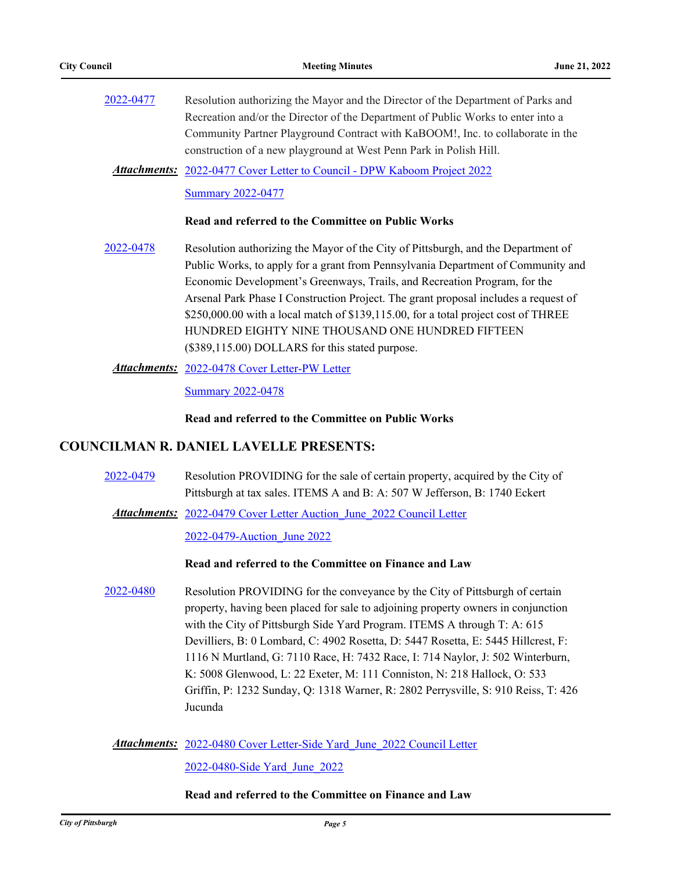- [2022-0477](http://pittsburgh.legistar.com/gateway.aspx?m=l&id=/matter.aspx?key=27874) Resolution authorizing the Mayor and the Director of the Department of Parks and Recreation and/or the Director of the Department of Public Works to enter into a Community Partner Playground Contract with KaBOOM!, Inc. to collaborate in the construction of a new playground at West Penn Park in Polish Hill.
	- Attachments: [2022-0477 Cover Letter to Council DPW Kaboom Project 2022](http://pittsburgh.legistar.com/gateway.aspx?M=F&ID=785222ae-db84-4e63-af17-9861a169fbbe.pdf) [Summary 2022-0477](http://pittsburgh.legistar.com/gateway.aspx?M=F&ID=798e7c45-b999-4e90-894e-2ff48d243d69.docx)

#### **Read and referred to the Committee on Public Works**

- [2022-0478](http://pittsburgh.legistar.com/gateway.aspx?m=l&id=/matter.aspx?key=27875) Resolution authorizing the Mayor of the City of Pittsburgh, and the Department of Public Works, to apply for a grant from Pennsylvania Department of Community and Economic Development's Greenways, Trails, and Recreation Program, for the Arsenal Park Phase I Construction Project. The grant proposal includes a request of \$250,000.00 with a local match of \$139,115.00, for a total project cost of THREE HUNDRED EIGHTY NINE THOUSAND ONE HUNDRED FIFTEEN (\$389,115.00) DOLLARS for this stated purpose.
	- [2022-0478 Cover Letter-PW Letter](http://pittsburgh.legistar.com/gateway.aspx?M=F&ID=dfa8073b-bf86-447e-a7e3-f844a77b9865.PDF) *Attachments:*

[Summary 2022-0478](http://pittsburgh.legistar.com/gateway.aspx?M=F&ID=8bf25d18-15c8-44c0-9c80-307be8f87826.docx)

**Read and referred to the Committee on Public Works**

#### **COUNCILMAN R. DANIEL LAVELLE PRESENTS:**

- [2022-0479](http://pittsburgh.legistar.com/gateway.aspx?m=l&id=/matter.aspx?key=27876) Resolution PROVIDING for the sale of certain property, acquired by the City of Pittsburgh at tax sales. ITEMS A and B: A: 507 W Jefferson, B: 1740 Eckert
	- Attachments: 2022-0479 Cover Letter Auction June 2022 Council Letter

#### [2022-0479-Auction\\_June 2022](http://pittsburgh.legistar.com/gateway.aspx?M=F&ID=939c791b-bd34-4b6f-9f3d-28112ec6d8c4.pdf)

#### **Read and referred to the Committee on Finance and Law**

[2022-0480](http://pittsburgh.legistar.com/gateway.aspx?m=l&id=/matter.aspx?key=27877) Resolution PROVIDING for the conveyance by the City of Pittsburgh of certain property, having been placed for sale to adjoining property owners in conjunction with the City of Pittsburgh Side Yard Program. ITEMS A through T: A: 615 Devilliers, B: 0 Lombard, C: 4902 Rosetta, D: 5447 Rosetta, E: 5445 Hillcrest, F: 1116 N Murtland, G: 7110 Race, H: 7432 Race, I: 714 Naylor, J: 502 Winterburn, K: 5008 Glenwood, L: 22 Exeter, M: 111 Conniston, N: 218 Hallock, O: 533 Griffin, P: 1232 Sunday, Q: 1318 Warner, R: 2802 Perrysville, S: 910 Reiss, T: 426 Jucunda

Attachments: 2022-0480 Cover Letter-Side Yard June 2022 Council Letter

[2022-0480-Side Yard\\_June\\_2022](http://pittsburgh.legistar.com/gateway.aspx?M=F&ID=436cf859-58bd-4fa5-b1f7-5fdc15493a65.pdf)

#### **Read and referred to the Committee on Finance and Law**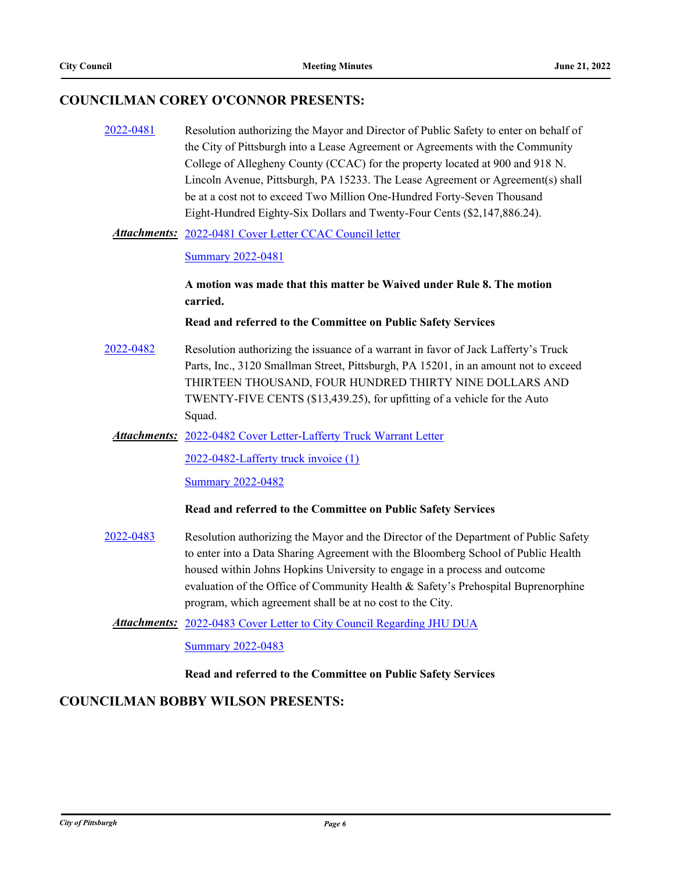## **COUNCILMAN COREY O'CONNOR PRESENTS:**

[2022-0481](http://pittsburgh.legistar.com/gateway.aspx?m=l&id=/matter.aspx?key=27878) Resolution authorizing the Mayor and Director of Public Safety to enter on behalf of the City of Pittsburgh into a Lease Agreement or Agreements with the Community College of Allegheny County (CCAC) for the property located at 900 and 918 N. Lincoln Avenue, Pittsburgh, PA 15233. The Lease Agreement or Agreement(s) shall be at a cost not to exceed Two Million One-Hundred Forty-Seven Thousand Eight-Hundred Eighty-Six Dollars and Twenty-Four Cents (\$2,147,886.24).

#### Attachments: [2022-0481 Cover Letter CCAC Council letter](http://pittsburgh.legistar.com/gateway.aspx?M=F&ID=a8a37855-85b8-4b74-b0c6-f6f68b2c9631.pdf)

#### [Summary 2022-0481](http://pittsburgh.legistar.com/gateway.aspx?M=F&ID=c16b7f5c-fc56-49fa-89e8-f10be0302e35.docx)

**A motion was made that this matter be Waived under Rule 8. The motion carried.**

**Read and referred to the Committee on Public Safety Services**

[2022-0482](http://pittsburgh.legistar.com/gateway.aspx?m=l&id=/matter.aspx?key=27879) Resolution authorizing the issuance of a warrant in favor of Jack Lafferty's Truck Parts, Inc., 3120 Smallman Street, Pittsburgh, PA 15201, in an amount not to exceed THIRTEEN THOUSAND, FOUR HUNDRED THIRTY NINE DOLLARS AND TWENTY-FIVE CENTS (\$13,439.25), for upfitting of a vehicle for the Auto Squad.

Attachments: [2022-0482 Cover Letter-Lafferty Truck Warrant Letter](http://pittsburgh.legistar.com/gateway.aspx?M=F&ID=9b12a331-5385-48b4-bf1e-1748c42cbeb2.pdf)

[2022-0482-Lafferty truck invoice \(1\)](http://pittsburgh.legistar.com/gateway.aspx?M=F&ID=4b0d6eb1-4dc7-47f8-bff8-648d70a29c58.pdf)

[Summary 2022-0482](http://pittsburgh.legistar.com/gateway.aspx?M=F&ID=70f6ac56-4367-471b-a57d-aed44db7bd56.docx)

#### **Read and referred to the Committee on Public Safety Services**

- [2022-0483](http://pittsburgh.legistar.com/gateway.aspx?m=l&id=/matter.aspx?key=27880) Resolution authorizing the Mayor and the Director of the Department of Public Safety to enter into a Data Sharing Agreement with the Bloomberg School of Public Health housed within Johns Hopkins University to engage in a process and outcome evaluation of the Office of Community Health & Safety's Prehospital Buprenorphine program, which agreement shall be at no cost to the City.
	- Attachments: [2022-0483 Cover Letter to City Council Regarding JHU DUA](http://pittsburgh.legistar.com/gateway.aspx?M=F&ID=38550f71-6f53-465b-8975-f62b60871146.pdf)

[Summary 2022-0483](http://pittsburgh.legistar.com/gateway.aspx?M=F&ID=c437ace5-e5a2-4653-bfb2-5fb35b84c21c.docx)

#### **Read and referred to the Committee on Public Safety Services**

## **COUNCILMAN BOBBY WILSON PRESENTS:**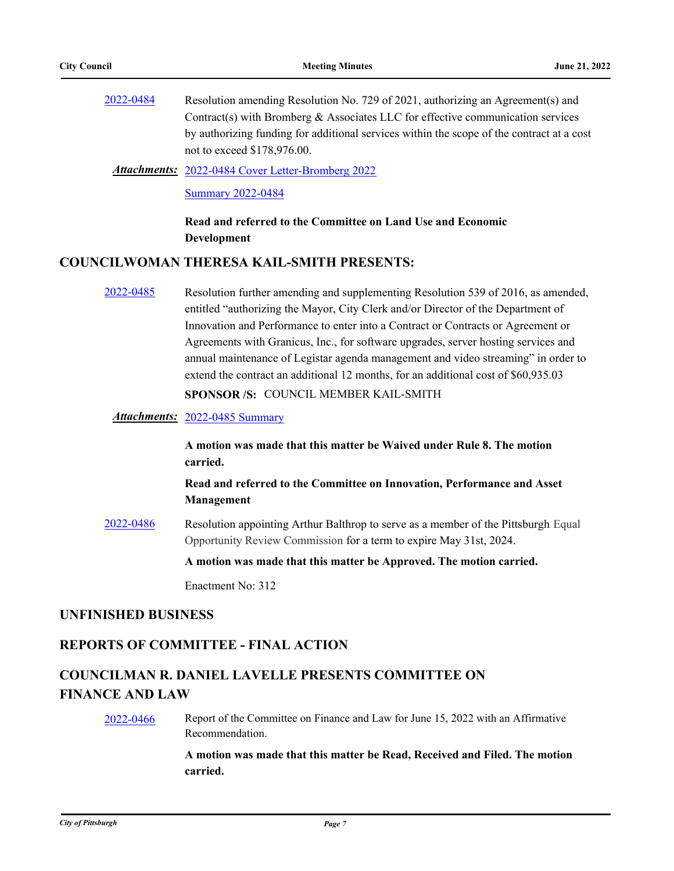[2022-0484](http://pittsburgh.legistar.com/gateway.aspx?m=l&id=/matter.aspx?key=27881) Resolution amending Resolution No. 729 of 2021, authorizing an Agreement(s) and Contract(s) with Bromberg  $&$  Associates LLC for effective communication services by authorizing funding for additional services within the scope of the contract at a cost not to exceed \$178,976.00.

[2022-0484 Cover Letter-Bromberg 2022](http://pittsburgh.legistar.com/gateway.aspx?M=F&ID=d516deae-1eff-482b-a447-055d2928be06.docx) *Attachments:*

**[Summary 2022-0484](http://pittsburgh.legistar.com/gateway.aspx?M=F&ID=41e34bff-2254-49b6-9b87-b228776f8384.DOCX)** 

**Read and referred to the Committee on Land Use and Economic Development**

## **COUNCILWOMAN THERESA KAIL-SMITH PRESENTS:**

[2022-0485](http://pittsburgh.legistar.com/gateway.aspx?m=l&id=/matter.aspx?key=27882) Resolution further amending and supplementing Resolution 539 of 2016, as amended, entitled "authorizing the Mayor, City Clerk and/or Director of the Department of Innovation and Performance to enter into a Contract or Contracts or Agreement or Agreements with Granicus, Inc., for software upgrades, server hosting services and annual maintenance of Legistar agenda management and video streaming" in order to extend the contract an additional 12 months, for an additional cost of \$60,935.03

**SPONSOR /S:** COUNCIL MEMBER KAIL-SMITH

*Attachments:* [2022-0485 Summary](http://pittsburgh.legistar.com/gateway.aspx?M=F&ID=cbaff440-43f9-4d9d-9e4b-2b112938b4e6.docx)

**A motion was made that this matter be Waived under Rule 8. The motion carried.**

**Read and referred to the Committee on Innovation, Performance and Asset Management**

[2022-0486](http://pittsburgh.legistar.com/gateway.aspx?m=l&id=/matter.aspx?key=27883) Resolution appointing Arthur Balthrop to serve as a member of the Pittsburgh Equal Opportunity Review Commission for a term to expire May 31st, 2024.

**A motion was made that this matter be Approved. The motion carried.**

Enactment No: 312

#### **UNFINISHED BUSINESS**

#### **REPORTS OF COMMITTEE - FINAL ACTION**

# **COUNCILMAN R. DANIEL LAVELLE PRESENTS COMMITTEE ON FINANCE AND LAW**

[2022-0466](http://pittsburgh.legistar.com/gateway.aspx?m=l&id=/matter.aspx?key=27863) Report of the Committee on Finance and Law for June 15, 2022 with an Affirmative Recommendation.

> **A motion was made that this matter be Read, Received and Filed. The motion carried.**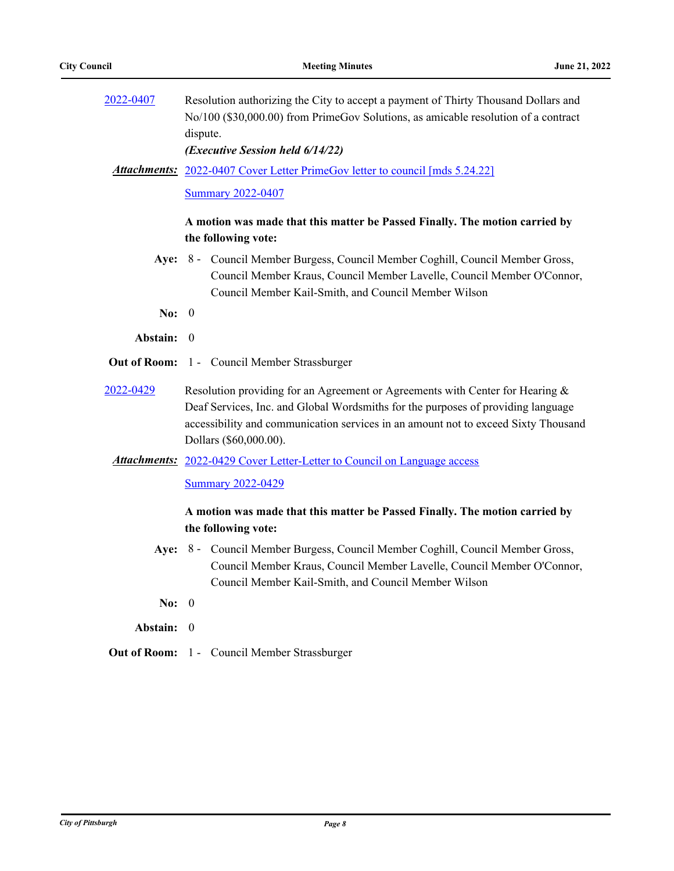| 2022-0407 | Resolution authorizing the City to accept a payment of Thirty Thousand Dollars and<br>No/100 (\$30,000.00) from PrimeGov Solutions, as amicable resolution of a contract                                         |
|-----------|------------------------------------------------------------------------------------------------------------------------------------------------------------------------------------------------------------------|
|           | dispute.                                                                                                                                                                                                         |
|           | (Executive Session held 6/14/22)                                                                                                                                                                                 |
|           | <b>Attachments:</b> 2022-0407 Cover Letter PrimeGov letter to council [mds 5.24.22]                                                                                                                              |
|           | <b>Summary 2022-0407</b>                                                                                                                                                                                         |
|           | A motion was made that this matter be Passed Finally. The motion carried by                                                                                                                                      |
|           | the following vote:                                                                                                                                                                                              |
|           | Aye: 8 - Council Member Burgess, Council Member Coghill, Council Member Gross,<br>Council Member Kraus, Council Member Lavelle, Council Member O'Connor,<br>Council Member Kail-Smith, and Council Member Wilson |
| No: $0$   |                                                                                                                                                                                                                  |
| Abstain:  | $\overline{0}$                                                                                                                                                                                                   |
|           | Out of Room: 1 - Council Member Strassburger                                                                                                                                                                     |
| 2022-0429 | Resolution providing for an Agreement or Agreements with Center for Hearing &                                                                                                                                    |
|           | Deaf Services, Inc. and Global Wordsmiths for the purposes of providing language<br>accessibility and communication services in an amount not to exceed Sixty Thousand<br>Dollars (\$60,000.00).                 |
|           | <b>Attachments:</b> 2022-0429 Cover Letter-Letter to Council on Language access                                                                                                                                  |
|           | <b>Summary 2022-0429</b>                                                                                                                                                                                         |
|           | A motion was made that this matter be Passed Finally. The motion carried by                                                                                                                                      |
|           | the following vote:                                                                                                                                                                                              |
|           | Aye: 8 - Council Member Burgess, Council Member Coghill, Council Member Gross,<br>Council Member Kraus, Council Member Lavelle, Council Member O'Connor,<br>Council Member Kail-Smith, and Council Member Wilson |
| No:       | $\boldsymbol{0}$                                                                                                                                                                                                 |
| Abstain:  | $\boldsymbol{0}$                                                                                                                                                                                                 |
|           | Out of Room: 1 - Council Member Strassburger                                                                                                                                                                     |
|           |                                                                                                                                                                                                                  |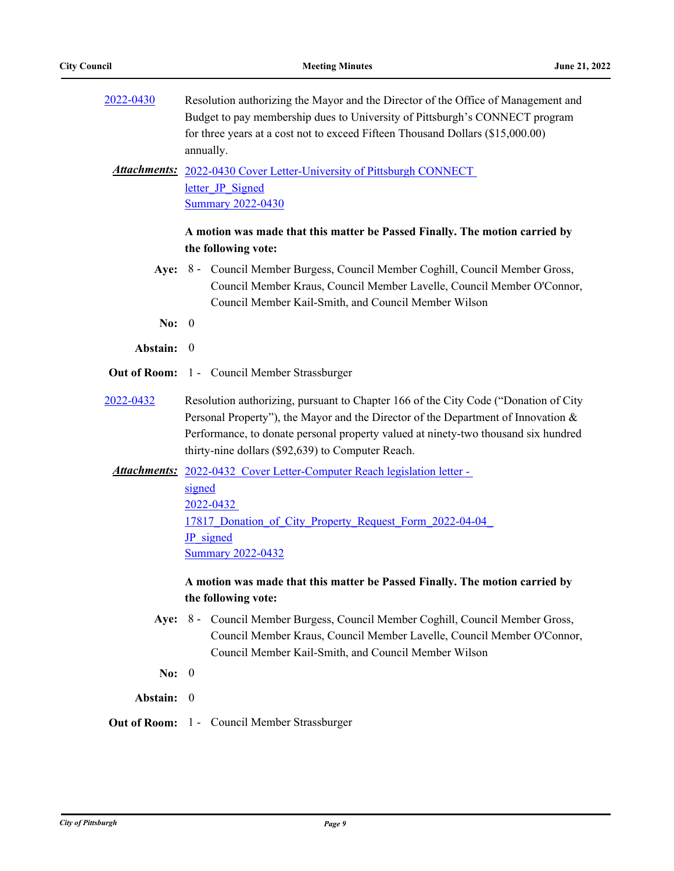| 2022-0430           | Resolution authorizing the Mayor and the Director of the Office of Management and<br>Budget to pay membership dues to University of Pittsburgh's CONNECT program<br>for three years at a cost not to exceed Fifteen Thousand Dollars (\$15,000.00)<br>annually.                                                     |  |
|---------------------|---------------------------------------------------------------------------------------------------------------------------------------------------------------------------------------------------------------------------------------------------------------------------------------------------------------------|--|
|                     | <b>Attachments:</b> 2022-0430 Cover Letter-University of Pittsburgh CONNECT<br>letter JP Signed<br><b>Summary 2022-0430</b>                                                                                                                                                                                         |  |
|                     | A motion was made that this matter be Passed Finally. The motion carried by<br>the following vote:                                                                                                                                                                                                                  |  |
|                     | Aye: 8 - Council Member Burgess, Council Member Coghill, Council Member Gross,<br>Council Member Kraus, Council Member Lavelle, Council Member O'Connor,<br>Council Member Kail-Smith, and Council Member Wilson                                                                                                    |  |
| No: $0$             |                                                                                                                                                                                                                                                                                                                     |  |
| Abstain:            | $\boldsymbol{0}$                                                                                                                                                                                                                                                                                                    |  |
|                     | <b>Out of Room:</b> 1 - Council Member Strassburger                                                                                                                                                                                                                                                                 |  |
| 2022-0432           | Resolution authorizing, pursuant to Chapter 166 of the City Code ("Donation of City<br>Personal Property"), the Mayor and the Director of the Department of Innovation &<br>Performance, to donate personal property valued at ninety-two thousand six hundred<br>thirty-nine dollars (\$92,639) to Computer Reach. |  |
|                     | Attachments: 2022-0432 Cover Letter-Computer Reach legislation letter -<br>signed<br>2022-0432<br>17817 Donation of City Property Request Form 2022-04-04<br><b>JP</b> signed<br><b>Summary 2022-0432</b>                                                                                                           |  |
|                     | A motion was made that this matter be Passed Finally. The motion carried by<br>the following vote:                                                                                                                                                                                                                  |  |
|                     | Aye: 8 - Council Member Burgess, Council Member Coghill, Council Member Gross,<br>Council Member Kraus, Council Member Lavelle, Council Member O'Connor,<br>Council Member Kail-Smith, and Council Member Wilson                                                                                                    |  |
| No:                 | $\boldsymbol{0}$                                                                                                                                                                                                                                                                                                    |  |
| Abstain:            | $\overline{0}$                                                                                                                                                                                                                                                                                                      |  |
| <b>Out of Room:</b> | 1 - Council Member Strassburger                                                                                                                                                                                                                                                                                     |  |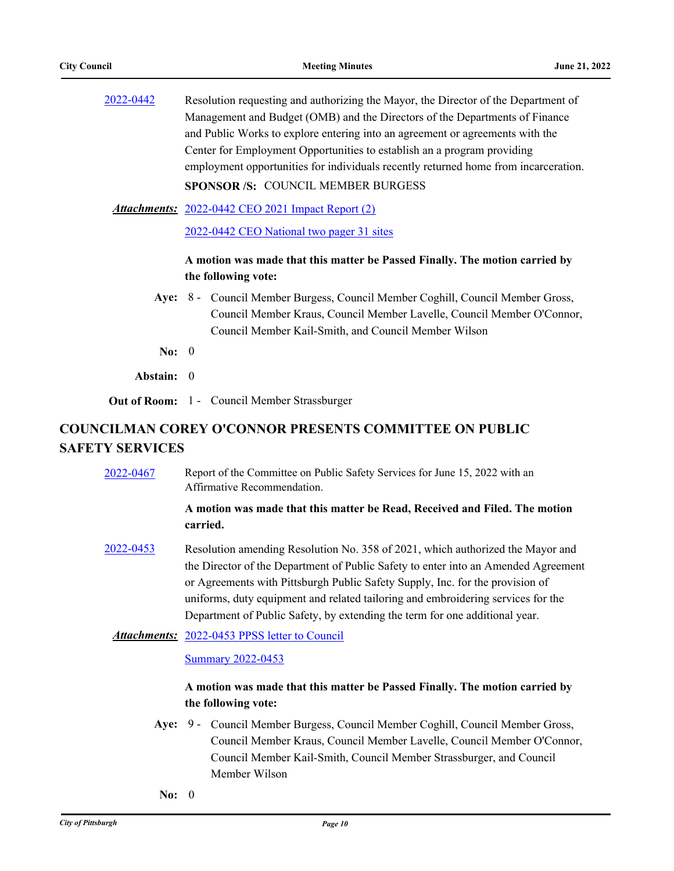[2022-0442](http://pittsburgh.legistar.com/gateway.aspx?m=l&id=/matter.aspx?key=27836) Resolution requesting and authorizing the Mayor, the Director of the Department of Management and Budget (OMB) and the Directors of the Departments of Finance and Public Works to explore entering into an agreement or agreements with the Center for Employment Opportunities to establish an a program providing employment opportunities for individuals recently returned home from incarceration. **SPONSOR /S:** COUNCIL MEMBER BURGESS

[2022-0442 CEO 2021 Impact Report \(2\)](http://pittsburgh.legistar.com/gateway.aspx?M=F&ID=1c8798bc-af46-4055-a5cf-344af256face.pdf) *Attachments:*

[2022-0442 CEO National two pager 31 sites](http://pittsburgh.legistar.com/gateway.aspx?M=F&ID=d12a6920-4877-497b-82c9-80586ab038ed.pdf)

## **A motion was made that this matter be Passed Finally. The motion carried by the following vote:**

- Aye: 8 Council Member Burgess, Council Member Coghill, Council Member Gross, Council Member Kraus, Council Member Lavelle, Council Member O'Connor, Council Member Kail-Smith, and Council Member Wilson
- **No:** 0
- **Abstain:** 0

**Out of Room:** 1 - Council Member Strassburger

# **COUNCILMAN COREY O'CONNOR PRESENTS COMMITTEE ON PUBLIC SAFETY SERVICES**

[2022-0467](http://pittsburgh.legistar.com/gateway.aspx?m=l&id=/matter.aspx?key=27864) Report of the Committee on Public Safety Services for June 15, 2022 with an Affirmative Recommendation.

## **A motion was made that this matter be Read, Received and Filed. The motion carried.**

- [2022-0453](http://pittsburgh.legistar.com/gateway.aspx?m=l&id=/matter.aspx?key=27848) Resolution amending Resolution No. 358 of 2021, which authorized the Mayor and the Director of the Department of Public Safety to enter into an Amended Agreement or Agreements with Pittsburgh Public Safety Supply, Inc. for the provision of uniforms, duty equipment and related tailoring and embroidering services for the Department of Public Safety, by extending the term for one additional year.
	- Attachments: [2022-0453 PPSS letter to Council](http://pittsburgh.legistar.com/gateway.aspx?M=F&ID=10c025fd-dd34-4555-a237-39535142064e.pdf)

[Summary 2022-0453](http://pittsburgh.legistar.com/gateway.aspx?M=F&ID=083d2de0-c3bb-4f42-a368-536e02f85365.docx)

## **A motion was made that this matter be Passed Finally. The motion carried by the following vote:**

- Aye: 9 Council Member Burgess, Council Member Coghill, Council Member Gross, Council Member Kraus, Council Member Lavelle, Council Member O'Connor, Council Member Kail-Smith, Council Member Strassburger, and Council Member Wilson
- **No:** 0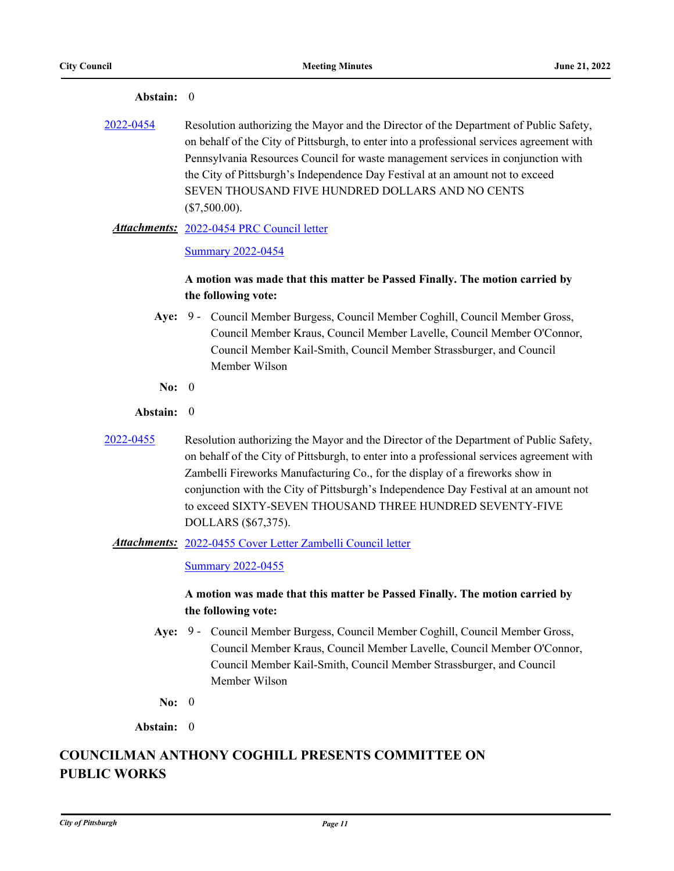| 2022-0454           | Resolution authorizing the Mayor and the Director of the Department of Public Safety,<br>on behalf of the City of Pittsburgh, to enter into a professional services agreement with<br>Pennsylvania Resources Council for waste management services in conjunction with<br>the City of Pittsburgh's Independence Day Festival at an amount not to exceed<br>SEVEN THOUSAND FIVE HUNDRED DOLLARS AND NO CENTS<br>$(\$7,500.00).$                 |
|---------------------|------------------------------------------------------------------------------------------------------------------------------------------------------------------------------------------------------------------------------------------------------------------------------------------------------------------------------------------------------------------------------------------------------------------------------------------------|
|                     | Attachments: 2022-0454 PRC Council letter                                                                                                                                                                                                                                                                                                                                                                                                      |
|                     | <b>Summary 2022-0454</b>                                                                                                                                                                                                                                                                                                                                                                                                                       |
|                     | A motion was made that this matter be Passed Finally. The motion carried by<br>the following vote:                                                                                                                                                                                                                                                                                                                                             |
| Aye:                | 9 - Council Member Burgess, Council Member Coghill, Council Member Gross,<br>Council Member Kraus, Council Member Lavelle, Council Member O'Connor,<br>Council Member Kail-Smith, Council Member Strassburger, and Council<br>Member Wilson                                                                                                                                                                                                    |
| No: $0$             |                                                                                                                                                                                                                                                                                                                                                                                                                                                |
| Abstain: 0          |                                                                                                                                                                                                                                                                                                                                                                                                                                                |
| 2022-0455           | Resolution authorizing the Mayor and the Director of the Department of Public Safety,<br>on behalf of the City of Pittsburgh, to enter into a professional services agreement with<br>Zambelli Fireworks Manufacturing Co., for the display of a fireworks show in<br>conjunction with the City of Pittsburgh's Independence Day Festival at an amount not<br>to exceed SIXTY-SEVEN THOUSAND THREE HUNDRED SEVENTY-FIVE<br>DOLLARS (\$67,375). |
|                     | Attachments: 2022-0455 Cover Letter Zambelli Council letter                                                                                                                                                                                                                                                                                                                                                                                    |
|                     | <b>Summary 2022-0455</b>                                                                                                                                                                                                                                                                                                                                                                                                                       |
|                     | A motion was made that this matter be Passed Finally. The motion carried by<br>the following vote:                                                                                                                                                                                                                                                                                                                                             |
| Aye:                | 9 - Council Member Burgess, Council Member Coghill, Council Member Gross,<br>Council Member Kraus, Council Member Lavelle, Council Member O'Connor,<br>Council Member Kail-Smith, Council Member Strassburger, and Council<br>Member Wilson                                                                                                                                                                                                    |
| No: $0$             |                                                                                                                                                                                                                                                                                                                                                                                                                                                |
| Abstain: 0          |                                                                                                                                                                                                                                                                                                                                                                                                                                                |
| <b>PUBLIC WORKS</b> | <b>COUNCILMAN ANTHONY COGHILL PRESENTS COMMITTEE ON</b>                                                                                                                                                                                                                                                                                                                                                                                        |

#### **Abstain:** 0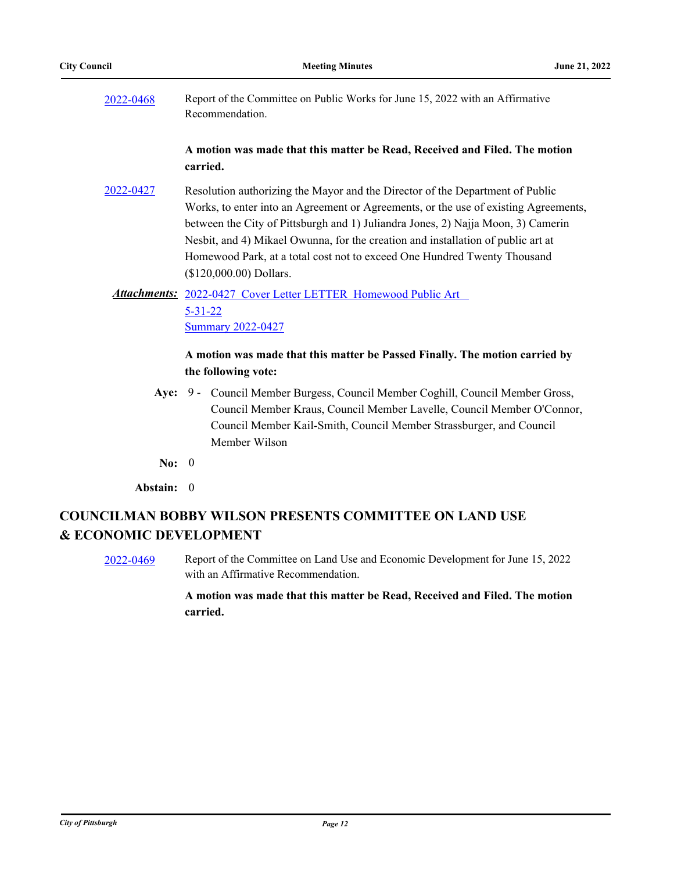[2022-0468](http://pittsburgh.legistar.com/gateway.aspx?m=l&id=/matter.aspx?key=27865) Report of the Committee on Public Works for June 15, 2022 with an Affirmative Recommendation.

### **A motion was made that this matter be Read, Received and Filed. The motion carried.**

[2022-0427](http://pittsburgh.legistar.com/gateway.aspx?m=l&id=/matter.aspx?key=27810) Resolution authorizing the Mayor and the Director of the Department of Public Works, to enter into an Agreement or Agreements, or the use of existing Agreements, between the City of Pittsburgh and 1) Juliandra Jones, 2) Najja Moon, 3) Camerin Nesbit, and 4) Mikael Owunna, for the creation and installation of public art at Homewood Park, at a total cost not to exceed One Hundred Twenty Thousand (\$120,000.00) Dollars.

## Attachments: 2022-0427 Cover Letter LETTER Homewood Public Art 5-31-22 [Summary 2022-0427](http://pittsburgh.legistar.com/gateway.aspx?M=F&ID=c814863a-f0b1-4963-bb87-06342e668e6d.docx)

## **A motion was made that this matter be Passed Finally. The motion carried by the following vote:**

- Aye: 9 Council Member Burgess, Council Member Coghill, Council Member Gross, Council Member Kraus, Council Member Lavelle, Council Member O'Connor, Council Member Kail-Smith, Council Member Strassburger, and Council Member Wilson
- **No:** 0
- **Abstain:** 0

# **COUNCILMAN BOBBY WILSON PRESENTS COMMITTEE ON LAND USE & ECONOMIC DEVELOPMENT**

[2022-0469](http://pittsburgh.legistar.com/gateway.aspx?m=l&id=/matter.aspx?key=27866) Report of the Committee on Land Use and Economic Development for June 15, 2022 with an Affirmative Recommendation.

## **A motion was made that this matter be Read, Received and Filed. The motion carried.**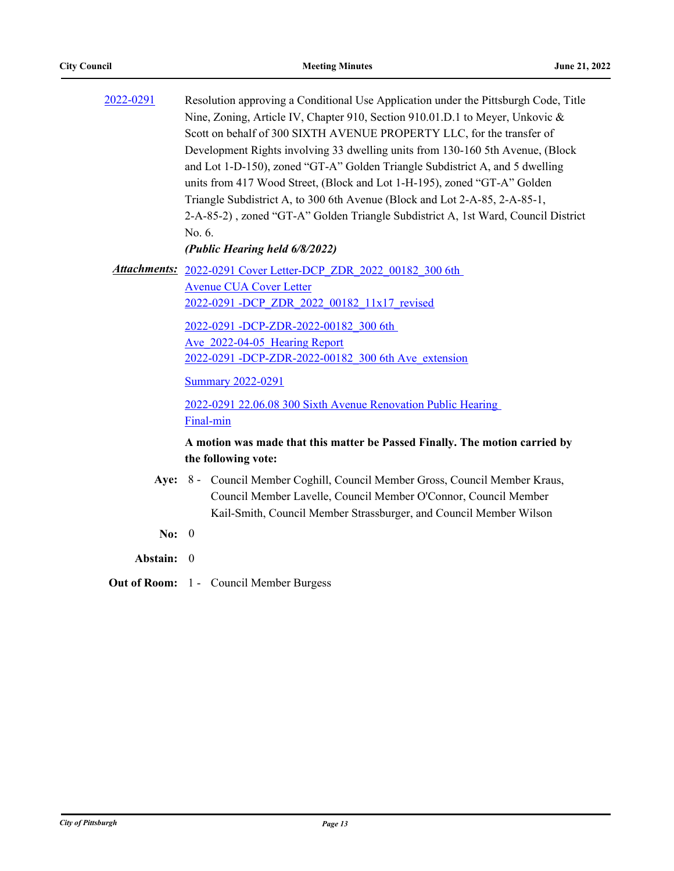| 2022-0291 | Resolution approving a Conditional Use Application under the Pittsburgh Code, Title<br>Nine, Zoning, Article IV, Chapter 910, Section 910.01.D.1 to Meyer, Unkovic &<br>Scott on behalf of 300 SIXTH AVENUE PROPERTY LLC, for the transfer of<br>Development Rights involving 33 dwelling units from 130-160 5th Avenue, (Block<br>and Lot 1-D-150), zoned "GT-A" Golden Triangle Subdistrict A, and 5 dwelling<br>units from 417 Wood Street, (Block and Lot 1-H-195), zoned "GT-A" Golden<br>Triangle Subdistrict A, to 300 6th Avenue (Block and Lot 2-A-85, 2-A-85-1,<br>2-A-85-2), zoned "GT-A" Golden Triangle Subdistrict A, 1st Ward, Council District<br>No. 6.<br>(Public Hearing held 6/8/2022) |
|-----------|------------------------------------------------------------------------------------------------------------------------------------------------------------------------------------------------------------------------------------------------------------------------------------------------------------------------------------------------------------------------------------------------------------------------------------------------------------------------------------------------------------------------------------------------------------------------------------------------------------------------------------------------------------------------------------------------------------|
|           | Attachments: 2022-0291 Cover Letter-DCP ZDR 2022 00182 300 6th<br><b>Avenue CUA Cover Letter</b><br>2022-0291-DCP ZDR 2022 00182 11x17 revised<br>2022-0291 -DCP-ZDR-2022-00182 300 6th<br>Ave 2022-04-05 Hearing Report<br>2022-0291 -DCP-ZDR-2022-00182 300 6th Ave extension<br><b>Summary 2022-0291</b><br>2022-0291 22.06.08 300 Sixth Avenue Renovation Public Hearing<br>Final-min                                                                                                                                                                                                                                                                                                                  |
|           | A motion was made that this matter be Passed Finally. The motion carried by<br>the following vote:                                                                                                                                                                                                                                                                                                                                                                                                                                                                                                                                                                                                         |
|           | Aye: 8 - Council Member Coghill, Council Member Gross, Council Member Kraus,<br>Council Member Lavelle, Council Member O'Connor, Council Member<br>Kail-Smith, Council Member Strassburger, and Council Member Wilson                                                                                                                                                                                                                                                                                                                                                                                                                                                                                      |

- **No:** 0
- **Abstain:** 0
- **Out of Room:** 1 Council Member Burgess